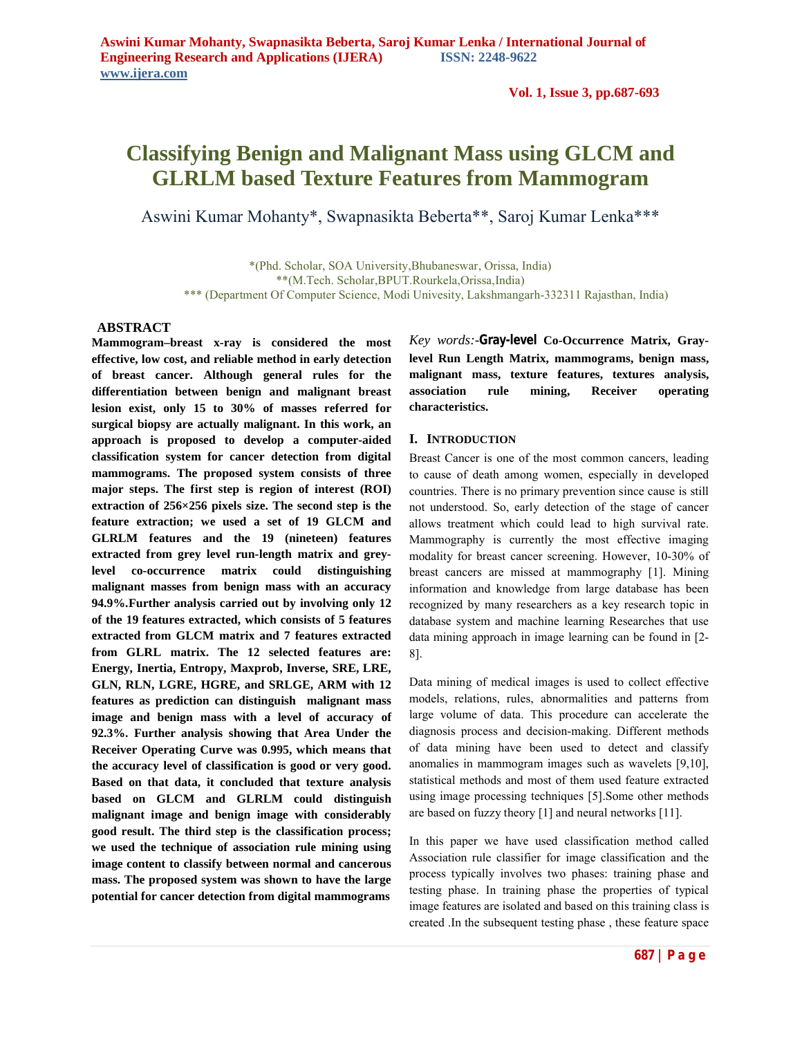**Vol. 1, Issue 3, pp.687-693**

# **Classifying Benign and Malignant Mass using GLCM and GLRLM based Texture Features from Mammogram**

Aswini Kumar Mohanty\*, Swapnasikta Beberta\*\*, Saroj Kumar Lenka\*\*\*

\*(Phd. Scholar, SOA University,Bhubaneswar, Orissa, India) \*\*(M.Tech. Scholar,BPUT.Rourkela,Orissa,India) \*\*\* (Department Of Computer Science, Modi Univesity, Lakshmangarh-332311 Rajasthan, India)

### **ABSTRACT**

**Mammogram–breast x-ray is considered the most effective, low cost, and reliable method in early detection of breast cancer. Although general rules for the differentiation between benign and malignant breast lesion exist, only 15 to 30% of masses referred for surgical biopsy are actually malignant. In this work, an approach is proposed to develop a computer-aided classification system for cancer detection from digital mammograms. The proposed system consists of three major steps. The first step is region of interest (ROI) extraction of 256×256 pixels size. The second step is the feature extraction; we used a set of 19 GLCM and GLRLM features and the 19 (nineteen) features extracted from grey level run-length matrix and greylevel co-occurrence matrix could distinguishing malignant masses from benign mass with an accuracy 94.9%.Further analysis carried out by involving only 12 of the 19 features extracted, which consists of 5 features extracted from GLCM matrix and 7 features extracted from GLRL matrix. The 12 selected features are: Energy, Inertia, Entropy, Maxprob, Inverse, SRE, LRE, GLN, RLN, LGRE, HGRE, and SRLGE, ARM with 12 features as prediction can distinguish malignant mass image and benign mass with a level of accuracy of 92.3%. Further analysis showing that Area Under the Receiver Operating Curve was 0.995, which means that the accuracy level of classification is good or very good. Based on that data, it concluded that texture analysis based on GLCM and GLRLM could distinguish malignant image and benign image with considerably good result. The third step is the classification process; we used the technique of association rule mining using image content to classify between normal and cancerous mass. The proposed system was shown to have the large potential for cancer detection from digital mammograms**

*Key words:-***Gray-level Co-Occurrence Matrix, Graylevel Run Length Matrix, mammograms, benign mass, malignant mass, texture features, textures analysis, association rule mining, Receiver operating characteristics.**

### **I. INTRODUCTION**

Breast Cancer is one of the most common cancers, leading to cause of death among women, especially in developed countries. There is no primary prevention since cause is still not understood. So, early detection of the stage of cancer allows treatment which could lead to high survival rate. Mammography is currently the most effective imaging modality for breast cancer screening. However, 10-30% of breast cancers are missed at mammography [1]. Mining information and knowledge from large database has been recognized by many researchers as a key research topic in database system and machine learning Researches that use data mining approach in image learning can be found in [2- 8].

Data mining of medical images is used to collect effective models, relations, rules, abnormalities and patterns from large volume of data. This procedure can accelerate the diagnosis process and decision-making. Different methods of data mining have been used to detect and classify anomalies in mammogram images such as wavelets [9,10], statistical methods and most of them used feature extracted using image processing techniques [5].Some other methods are based on fuzzy theory [1] and neural networks [11].

In this paper we have used classification method called Association rule classifier for image classification and the process typically involves two phases: training phase and testing phase. In training phase the properties of typical image features are isolated and based on this training class is created .In the subsequent testing phase , these feature space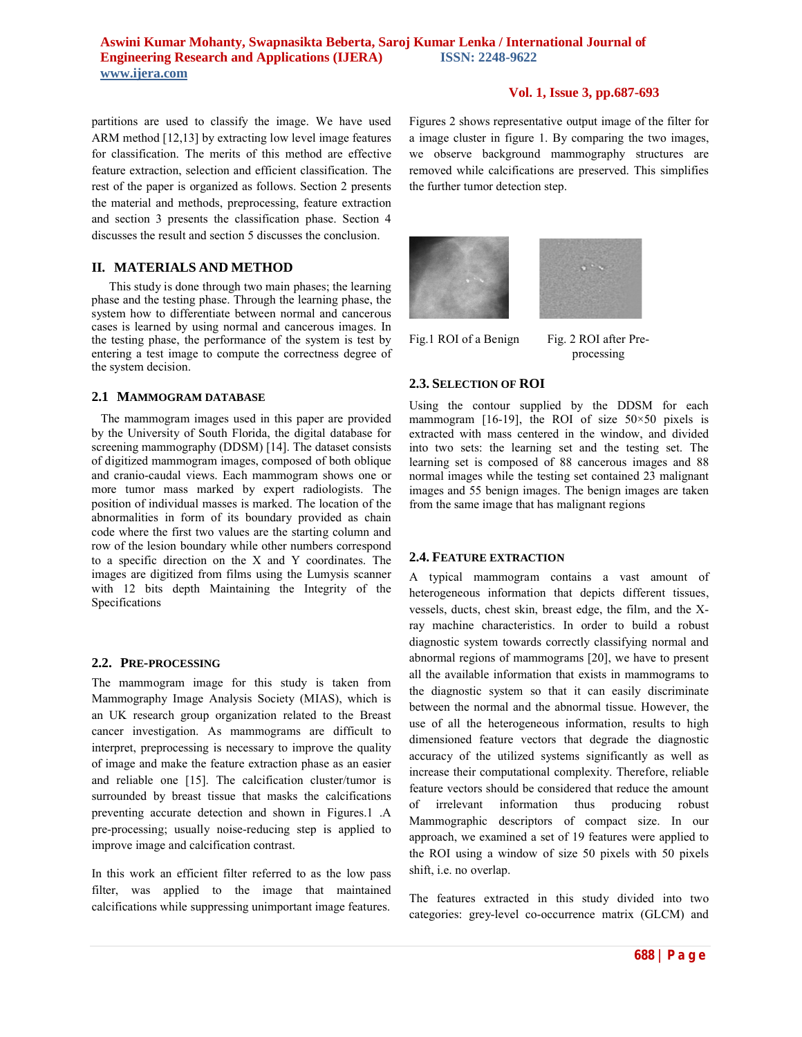# **Vol. 1, Issue 3, pp.687-693**

partitions are used to classify the image. We have used ARM method [12,13] by extracting low level image features for classification. The merits of this method are effective feature extraction, selection and efficient classification. The rest of the paper is organized as follows. Section 2 presents the material and methods, preprocessing, feature extraction and section 3 presents the classification phase. Section 4 discusses the result and section 5 discusses the conclusion.

# **II. MATERIALS AND METHOD**

This study is done through two main phases; the learning phase and the testing phase. Through the learning phase, the system how to differentiate between normal and cancerous cases is learned by using normal and cancerous images. In the testing phase, the performance of the system is test by entering a test image to compute the correctness degree of the system decision.

### **2.1 MAMMOGRAM DATABASE**

The mammogram images used in this paper are provided by the University of South Florida, the digital database for screening mammography (DDSM) [14]. The dataset consists of digitized mammogram images, composed of both oblique and cranio-caudal views. Each mammogram shows one or more tumor mass marked by expert radiologists. The position of individual masses is marked. The location of the abnormalities in form of its boundary provided as chain code where the first two values are the starting column and row of the lesion boundary while other numbers correspond to a specific direction on the X and Y coordinates. The images are digitized from films using the Lumysis scanner with 12 bits depth Maintaining the Integrity of the Specifications

# **2.2. PRE-PROCESSING**

The mammogram image for this study is taken from Mammography Image Analysis Society (MIAS), which is an UK research group organization related to the Breast cancer investigation. As mammograms are difficult to interpret, preprocessing is necessary to improve the quality of image and make the feature extraction phase as an easier and reliable one [15]. The calcification cluster/tumor is surrounded by breast tissue that masks the calcifications preventing accurate detection and shown in Figures.1 .A pre-processing; usually noise-reducing step is applied to improve image and calcification contrast.

In this work an efficient filter referred to as the low pass filter, was applied to the image that maintained calcifications while suppressing unimportant image features.

Figures 2 shows representative output image of the filter for a image cluster in figure 1. By comparing the two images, we observe background mammography structures are removed while calcifications are preserved. This simplifies the further tumor detection step.





processing

# **2.3. SELECTION OF ROI**

Using the contour supplied by the DDSM for each mammogram [16-19], the ROI of size  $50 \times 50$  pixels is extracted with mass centered in the window, and divided into two sets: the learning set and the testing set. The learning set is composed of 88 cancerous images and 88 normal images while the testing set contained 23 malignant images and 55 benign images. The benign images are taken from the same image that has malignant regions

# **2.4. FEATURE EXTRACTION**

A typical mammogram contains a vast amount of heterogeneous information that depicts different tissues, vessels, ducts, chest skin, breast edge, the film, and the Xray machine characteristics. In order to build a robust diagnostic system towards correctly classifying normal and abnormal regions of mammograms [20], we have to present all the available information that exists in mammograms to the diagnostic system so that it can easily discriminate between the normal and the abnormal tissue. However, the use of all the heterogeneous information, results to high dimensioned feature vectors that degrade the diagnostic accuracy of the utilized systems significantly as well as increase their computational complexity. Therefore, reliable feature vectors should be considered that reduce the amount of irrelevant information thus producing robust Mammographic descriptors of compact size. In our approach, we examined a set of 19 features were applied to the ROI using a window of size 50 pixels with 50 pixels shift, i.e. no overlap.

The features extracted in this study divided into two categories: grey-level co-occurrence matrix (GLCM) and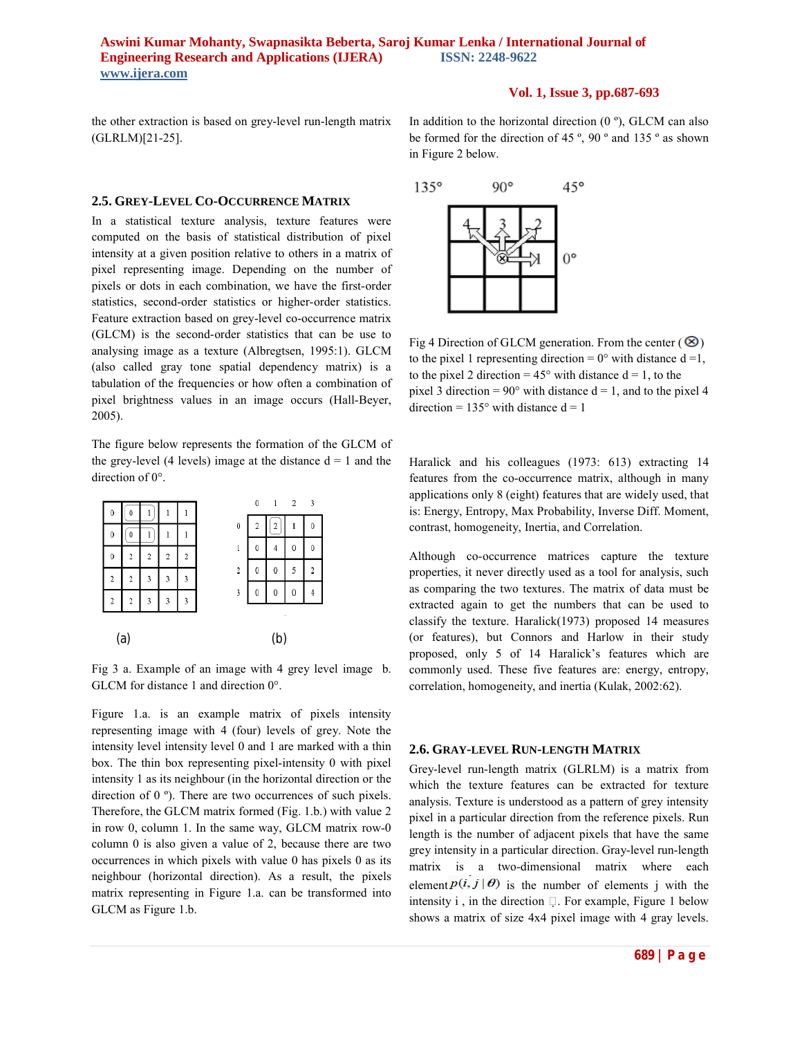### **Vol. 1, Issue 3, pp.687-693**

the other extraction is based on grey-level run-length matrix (GLRLM)[21-25].

### **2.5. GREY-LEVEL CO-OCCURRENCE MATRIX**

In a statistical texture analysis, texture features were computed on the basis of statistical distribution of pixel intensity at a given position relative to others in a matrix of pixel representing image. Depending on the number of pixels or dots in each combination, we have the first-order statistics, second-order statistics or higher-order statistics. Feature extraction based on grey-level co-occurrence matrix (GLCM) is the second-order statistics that can be use to analysing image as a texture (Albregtsen, 1995:1). GLCM (also called gray tone spatial dependency matrix) is a tabulation of the frequencies or how often a combination of pixel brightness values in an image occurs (Hall-Beyer, 2005).

The figure below represents the formation of the GLCM of the grey-level (4 levels) image at the distance  $d = 1$  and the direction of 0°.



Fig 3 a. Example of an image with 4 grey level image b. GLCM for distance 1 and direction 0°.

Figure 1.a. is an example matrix of pixels intensity representing image with 4 (four) levels of grey. Note the intensity level intensity level 0 and 1 are marked with a thin box. The thin box representing pixel-intensity 0 with pixel intensity 1 as its neighbour (in the horizontal direction or the direction of 0 º). There are two occurrences of such pixels. Therefore, the GLCM matrix formed (Fig. 1.b.) with value 2 in row 0, column 1. In the same way, GLCM matrix row-0 column 0 is also given a value of 2, because there are two occurrences in which pixels with value 0 has pixels 0 as its neighbour (horizontal direction). As a result, the pixels matrix representing in Figure 1.a. can be transformed into GLCM as Figure 1.b.

In addition to the horizontal direction  $(0, \degree)$ , GLCM can also be formed for the direction of 45 º, 90 º and 135 º as shown in Figure 2 below.



Fig 4 Direction of GLCM generation. From the center  $(\circledast)$ to the pixel 1 representing direction =  $0^{\circ}$  with distance d = 1, to the pixel 2 direction =  $45^{\circ}$  with distance  $d = 1$ , to the pixel 3 direction =  $90^{\circ}$  with distance d = 1, and to the pixel 4 direction =  $135^{\circ}$  with distance  $d = 1$ 

Haralick and his colleagues (1973: 613) extracting 14 features from the co-occurrence matrix, although in many applications only 8 (eight) features that are widely used, that is: Energy, Entropy, Max Probability, Inverse Diff. Moment, contrast, homogeneity, Inertia, and Correlation.

Although co-occurrence matrices capture the texture properties, it never directly used as a tool for analysis, such as comparing the two textures. The matrix of data must be extracted again to get the numbers that can be used to classify the texture. Haralick(1973) proposed 14 measures (or features), but Connors and Harlow in their study proposed, only 5 of 14 Haralick's features which are commonly used. These five features are: energy, entropy, correlation, homogeneity, and inertia (Kulak, 2002:62).

#### **2.6. GRAY-LEVEL RUN-LENGTH MATRIX**

Grey-level run-length matrix (GLRLM) is a matrix from which the texture features can be extracted for texture analysis. Texture is understood as a pattern of grey intensity pixel in a particular direction from the reference pixels. Run length is the number of adjacent pixels that have the same grey intensity in a particular direction. Gray-level run-length matrix is a two-dimensional matrix where each element  $P(i, j | \theta)$  is the number of elements j with the intensity i, in the direction  $\Box$ . For example, Figure 1 below shows a matrix of size 4x4 pixel image with 4 gray levels.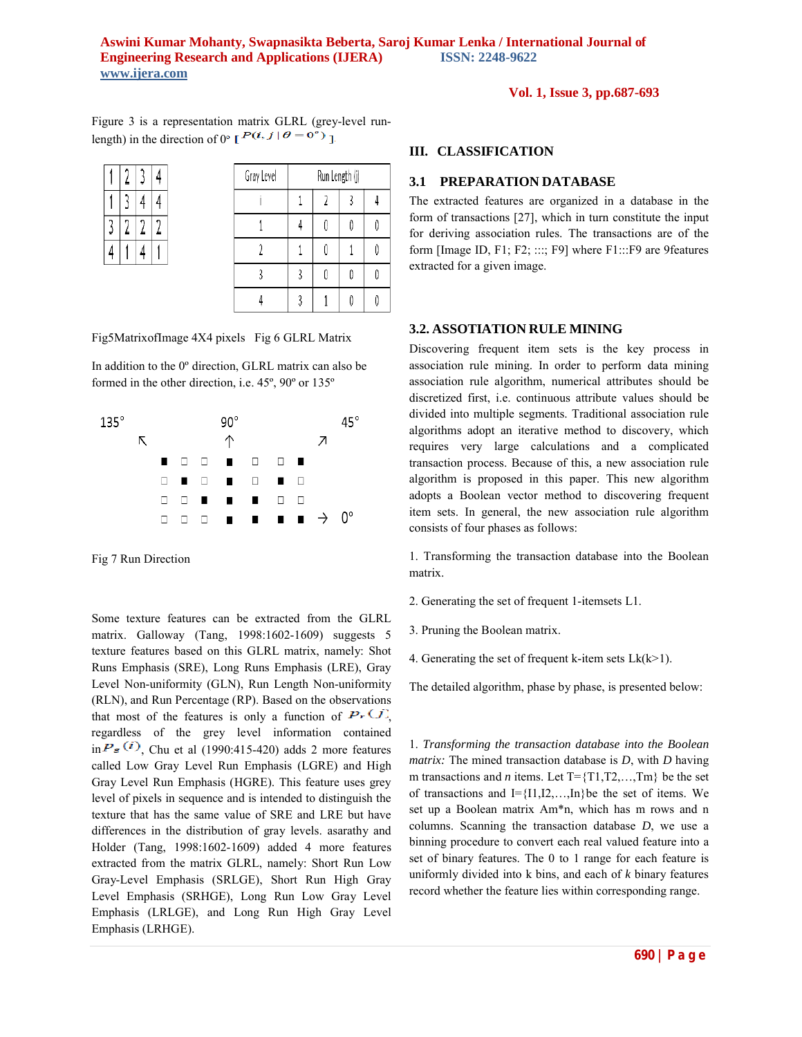**Vol. 1, Issue 3, pp.687-693**

Figure 3 is a representation matrix GLRL (grey-level runlength) in the direction of  $0^{\circ}$  [ $P(i, j | \theta = 0^{\circ})$ ]

|   | 4 | 4 |
|---|---|---|
| 2 | 7 |   |
|   |   |   |

| Gray Level | Run Length (j) |  |  |  |
|------------|----------------|--|--|--|
|            |                |  |  |  |
|            |                |  |  |  |
|            |                |  |  |  |
|            |                |  |  |  |
|            |                |  |  |  |

Fig5MatrixofImage 4X4 pixels Fig 6 GLRL Matrix

In addition to the 0º direction, GLRL matrix can also be formed in the other direction, i.e. 45º, 90º or 135º



Fig 7 Run Direction

Some texture features can be extracted from the GLRL matrix. Galloway (Tang, 1998:1602-1609) suggests 5 texture features based on this GLRL matrix, namely: Shot Runs Emphasis (SRE), Long Runs Emphasis (LRE), Gray Level Non-uniformity (GLN), Run Length Non-uniformity (RLN), and Run Percentage (RP). Based on the observations that most of the features is only a function of  $P_r(J)$ , regardless of the grey level information contained  $\sin P_{\sigma}$ <sup>(i)</sup>, Chu et al (1990:415-420) adds 2 more features called Low Gray Level Run Emphasis (LGRE) and High Gray Level Run Emphasis (HGRE). This feature uses grey level of pixels in sequence and is intended to distinguish the texture that has the same value of SRE and LRE but have differences in the distribution of gray levels. asarathy and Holder (Tang, 1998:1602-1609) added 4 more features extracted from the matrix GLRL, namely: Short Run Low Gray-Level Emphasis (SRLGE), Short Run High Gray Level Emphasis (SRHGE), Long Run Low Gray Level Emphasis (LRLGE), and Long Run High Gray Level Emphasis (LRHGE).

### **III. CLASSIFICATION**

# **3.1 PREPARATION DATABASE**

The extracted features are organized in a database in the form of transactions [27], which in turn constitute the input for deriving association rules. The transactions are of the form [Image ID, F1; F2; :::; F9] where F1:::F9 are 9features extracted for a given image.

#### **3.2. ASSOTIATION RULE MINING**

Discovering frequent item sets is the key process in association rule mining. In order to perform data mining association rule algorithm, numerical attributes should be discretized first, i.e. continuous attribute values should be divided into multiple segments. Traditional association rule algorithms adopt an iterative method to discovery, which requires very large calculations and a complicated transaction process. Because of this, a new association rule algorithm is proposed in this paper. This new algorithm adopts a Boolean vector method to discovering frequent item sets. In general, the new association rule algorithm consists of four phases as follows:

1. Transforming the transaction database into the Boolean matrix.

- 2. Generating the set of frequent 1-itemsets L1.
- 3. Pruning the Boolean matrix.
- 4. Generating the set of frequent k-item sets  $Lk(k>1)$ .

The detailed algorithm, phase by phase, is presented below:

1. *Transforming the transaction database into the Boolean matrix:* The mined transaction database is *D*, with *D* having m transactions and *n* items. Let  $T = \{T1, T2, \ldots, Tm\}$  be the set of transactions and  $I = \{I1, I2, \ldots, In\}$  be the set of items. We set up a Boolean matrix Am\*n, which has m rows and n columns. Scanning the transaction database *D*, we use a binning procedure to convert each real valued feature into a set of binary features. The 0 to 1 range for each feature is uniformly divided into k bins, and each of *k* binary features record whether the feature lies within corresponding range.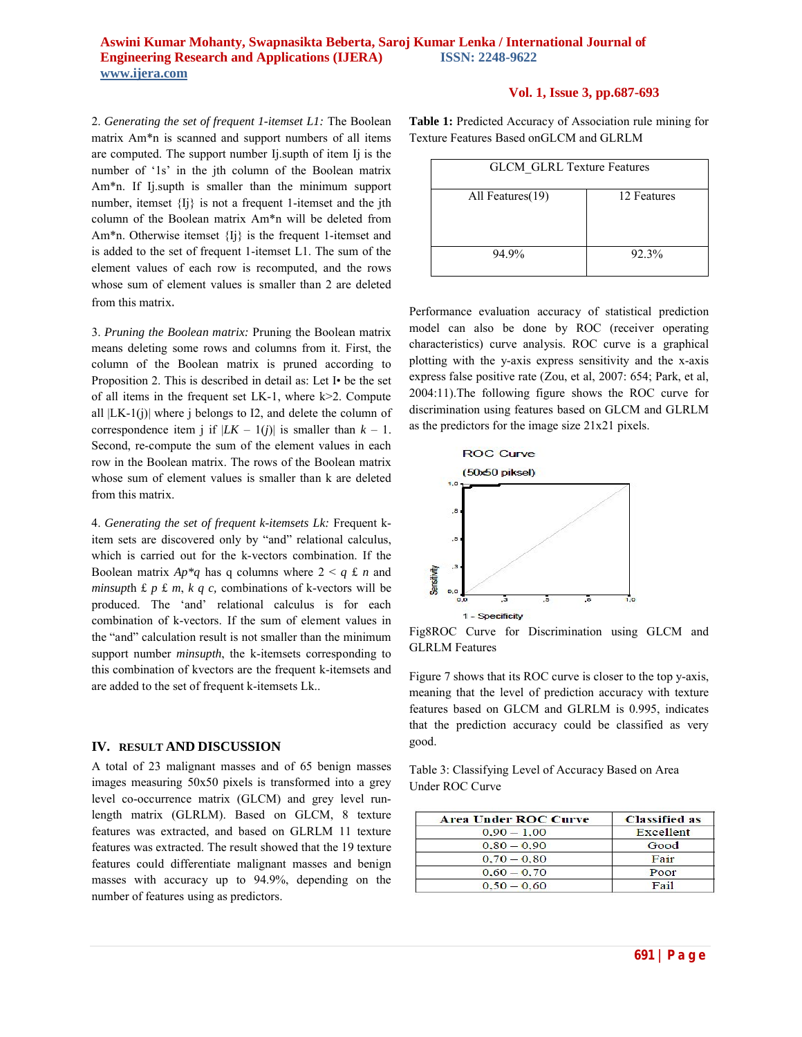# **Vol. 1, Issue 3, pp.687-693**

2. *Generating the set of frequent 1-itemset L1:* The Boolean matrix Am\*n is scanned and support numbers of all items are computed. The support number Ij.supth of item Ij is the number of '1s' in the jth column of the Boolean matrix Am\*n. If Ij.supth is smaller than the minimum support number, itemset  ${I}$  is not a frequent 1-itemset and the jth column of the Boolean matrix Am\*n will be deleted from Am\*n. Otherwise itemset {Ij} is the frequent 1-itemset and is added to the set of frequent 1-itemset L1. The sum of the element values of each row is recomputed, and the rows whose sum of element values is smaller than 2 are deleted from this matrix.

3. *Pruning the Boolean matrix:* Pruning the Boolean matrix means deleting some rows and columns from it. First, the column of the Boolean matrix is pruned according to Proposition 2. This is described in detail as: Let I• be the set of all items in the frequent set LK-1, where k>2. Compute all  $|LK-1(i)|$  where j belongs to I2, and delete the column of correspondence item j if  $|LK - 1(j)|$  is smaller than  $k - 1$ . Second, re-compute the sum of the element values in each row in the Boolean matrix. The rows of the Boolean matrix whose sum of element values is smaller than k are deleted from this matrix.

4. *Generating the set of frequent k-itemsets Lk:* Frequent kitem sets are discovered only by "and" relational calculus, which is carried out for the k-vectors combination. If the Boolean matrix  $Ap * q$  has q columns where  $2 \le q \pounds n$  and *minsupt*h £ *p* £ *m*, *k q c,* combinations of k-vectors will be produced. The 'and' relational calculus is for each combination of k-vectors. If the sum of element values in the "and" calculation result is not smaller than the minimum support number *minsupth*, the k-itemsets corresponding to this combination of kvectors are the frequent k-itemsets and are added to the set of frequent k-itemsets Lk..

#### **IV. RESULT AND DISCUSSION**

A total of 23 malignant masses and of 65 benign masses images measuring 50x50 pixels is transformed into a grey level co-occurrence matrix (GLCM) and grey level runlength matrix (GLRLM). Based on GLCM, 8 texture features was extracted, and based on GLRLM 11 texture features was extracted. The result showed that the 19 texture features could differentiate malignant masses and benign masses with accuracy up to 94.9%, depending on the number of features using as predictors.

**Table 1:** Predicted Accuracy of Association rule mining for Texture Features Based onGLCM and GLRLM

| <b>GLCM GLRL Texture Features</b> |             |  |  |  |
|-----------------------------------|-------------|--|--|--|
| All Features(19)                  | 12 Features |  |  |  |
| 94.9%                             | 92.3%       |  |  |  |

Performance evaluation accuracy of statistical prediction model can also be done by ROC (receiver operating characteristics) curve analysis. ROC curve is a graphical plotting with the y-axis express sensitivity and the x-axis express false positive rate (Zou, et al, 2007: 654; Park, et al, 2004:11).The following figure shows the ROC curve for discrimination using features based on GLCM and GLRLM as the predictors for the image size 21x21 pixels.



Fig8ROC Curve for Discrimination using GLCM and GLRLM Features

Figure 7 shows that its ROC curve is closer to the top y-axis, meaning that the level of prediction accuracy with texture features based on GLCM and GLRLM is 0.995, indicates that the prediction accuracy could be classified as very good.

Table 3: Classifying Level of Accuracy Based on Area Under ROC Curve

| <b>Area Under ROC Curve</b> | <b>Classified as</b> |
|-----------------------------|----------------------|
| $0.90 - 1.00$               | Excellent            |
| $0.80 - 0.90$               | Good                 |
| $0.70 - 0.80$               | Fair                 |
| $0.60 - 0.70$               | Poor                 |
| $0.50 - 0.60$               | <b>Fail</b>          |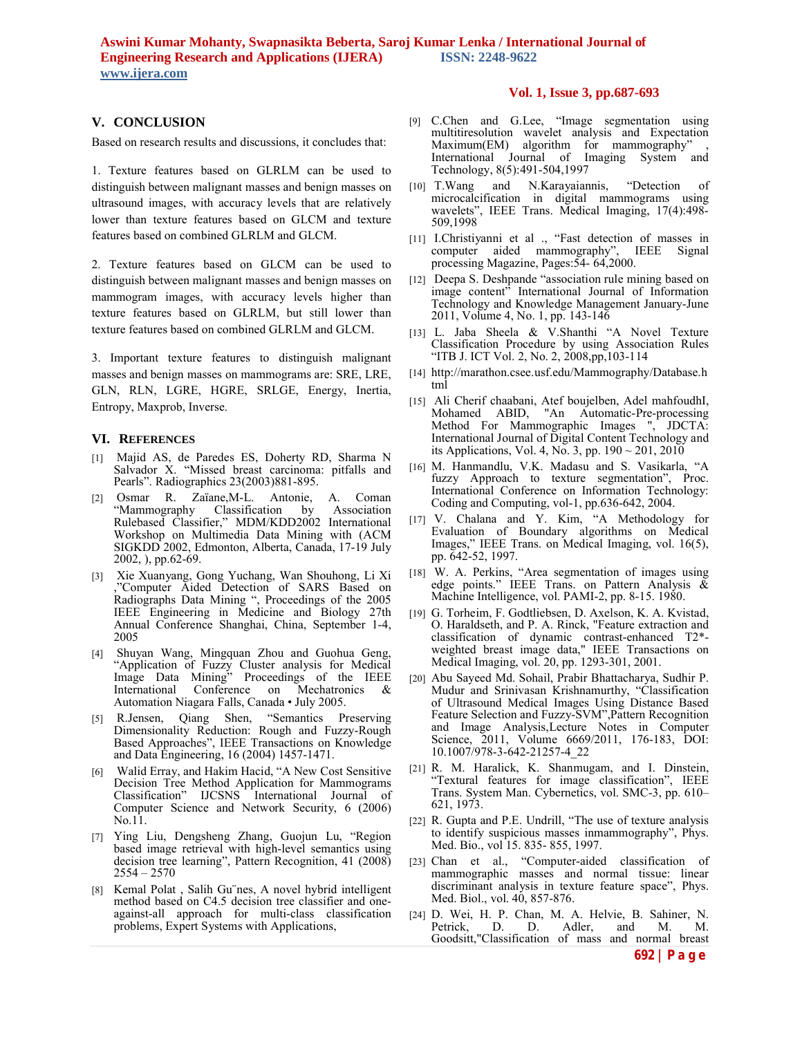### **V. CONCLUSION**

Based on research results and discussions, it concludes that:

1. Texture features based on GLRLM can be used to distinguish between malignant masses and benign masses on ultrasound images, with accuracy levels that are relatively lower than texture features based on GLCM and texture features based on combined GLRLM and GLCM.

2. Texture features based on GLCM can be used to distinguish between malignant masses and benign masses on mammogram images, with accuracy levels higher than texture features based on GLRLM, but still lower than texture features based on combined GLRLM and GLCM.

3. Important texture features to distinguish malignant masses and benign masses on mammograms are: SRE, LRE, GLN, RLN, LGRE, HGRE, SRLGE, Energy, Inertia, Entropy, Maxprob, Inverse.

### **VI. REFERENCES**

- [1] Majid AS, de Paredes ES, Doherty RD, Sharma N Salvador X. "Missed breast carcinoma: pitfalls and Pearls". Radiographics 23(2003)881-895.
- [2] Osmar R. Zaïane,M-L. Antonie, A. Coman "Mammography Classification by Association Rulebased Classifier," MDM/KDD2002 International Workshop on Multimedia Data Mining with (ACM SIGKDD 2002, Edmonton, Alberta, Canada, 17-19 July 2002, ), pp.62-69.
- [3] Xie Xuanyang, Gong Yuchang, Wan Shouhong, Li Xi ,"Computer Aided Detection of SARS Based on Radiographs Data Mining ", Proceedings of the 2005 IEEE Engineering in Medicine and Biology 27th Annual Conference Shanghai, China, September 1-4, 2005
- [4] Shuyan Wang, Mingquan Zhou and Guohua Geng, "Application of Fuzzy Cluster analysis for Medical Image Data Mining" Proceedings of the IEEE International Conference on Mechatronics & Automation Niagara Falls, Canada • July 2005.
- [5] R.Jensen, Qiang Shen, "Semantics Preserving Dimensionality Reduction: Rough and Fuzzy-Rough Based Approaches", IEEE Transactions on Knowledge and Data Engineering, 16 (2004) 1457-1471.
- [6] Walid Erray, and Hakim Hacid, "A New Cost Sensitive Decision Tree Method Application for Mammograms Classification" IJCSNS International Journal of Computer Science and Network Security, 6 (2006) No.11.
- [7] Ying Liu, Dengsheng Zhang, Guojun Lu, "Region based image retrieval with high-level semantics using decision tree learning", Pattern Recognition, 41 (2008)  $2554 - 2570$
- [8] Kemal Polat , Salih Gu¨nes, A novel hybrid intelligent method based on C4.5 decision tree classifier and oneagainst-all approach for multi-class classification problems, Expert Systems with Applications,

# **Vol. 1, Issue 3, pp.687-693**

- [9] C.Chen and G.Lee, "Image segmentation using multitiresolution wavelet analysis and Expectation Maximum(EM) algorithm for mammography" , International Journal of Imaging System and Technology, 8(5):491-504,1997
- [10] T.Wang and N.Karayaiannis, "Detection of microcalcification in digital mammograms using wavelets", IEEE Trans. Medical Imaging, 17(4):498- 509,1998
- [11] I.Christiyanni et al ., "Fast detection of masses in computer aided mammography", IEEE Signal processing Magazine, Pages:54- 64,2000.
- [12] Deepa S. Deshpande "association rule mining based on image content" International Journal of Information Technology and Knowledge Management January-June 2011, Volume 4, No. 1, pp. 143-146
- [13] L. Jaba Sheela & V.Shanthi "A Novel Texture Classification Procedure by using Association Rules "ITB J. ICT Vol. 2, No. 2, 2008,pp,103-114
- [14] http://marathon.csee.usf.edu/Mammography/Database.h tml
- [15] Ali Cherif chaabani, Atef boujelben, Adel mahfoudhI, Mohamed ABID, "An Automatic-Pre-processing Method For Mammographic Images ", JDCTA: International Journal of Digital Content Technology and its Applications, Vol. 4, No. 3, pp. 190 ~ 201, 2010
- [16] M. Hanmandlu, V.K. Madasu and S. Vasikarla, "A fuzzy Approach to texture segmentation", Proc. International Conference on Information Technology: Coding and Computing, vol-1, pp.636-642, 2004.
- [17] V. Chalana and Y. Kim, "A Methodology for Evaluation of Boundary algorithms on Medical Images," IEEE Trans. on Medical Imaging, vol. 16(5), pp. 642-52, 1997.
- [18] W. A. Perkins, "Area segmentation of images using edge points." IEEE Trans. on Pattern Analysis & Machine Intelligence, vol. PAMI-2, pp. 8-15. 1980.
- [19] G. Torheim, F. Godtliebsen, D. Axelson, K. A. Kvistad, O. Haraldseth, and P. A. Rinck, "Feature extraction and classification of dynamic contrast-enhanced T2\* weighted breast image data," IEEE Transactions on Medical Imaging, vol. 20, pp. 1293-301, 2001.
- [20] Abu Sayeed Md. Sohail, Prabir Bhattacharya, Sudhir P. Mudur and Srinivasan Krishnamurthy, "Classification of Ultrasound Medical Images Using Distance Based Feature Selection and Fuzzy-SVM",Pattern Recognition and Image Analysis,Lecture Notes in Computer Science, 2011, Volume 6669/2011, 176-183, DOI: 10.1007/978-3-642-21257-4\_22
- [21] R. M. Haralick, K. Shanmugam, and I. Dinstein, "Textural features for image classification", IEEE Trans. System Man. Cybernetics, vol. SMC-3, pp. 610– 621, 1973.
- [22] R. Gupta and P.E. Undrill, "The use of texture analysis to identify suspicious masses inmammography", Phys. Med. Bio., vol 15. 835- 855, 1997.
- [23] Chan et al., "Computer-aided classification of mammographic masses and normal tissue: linear discriminant analysis in texture feature space", Phys. Med. Biol., vol. 40, 857-876.
- [24] D. Wei, H. P. Chan, M. A. Helvie, B. Sahiner, N. Adler, and M. M. Goodsitt,"Classification of mass and normal breast